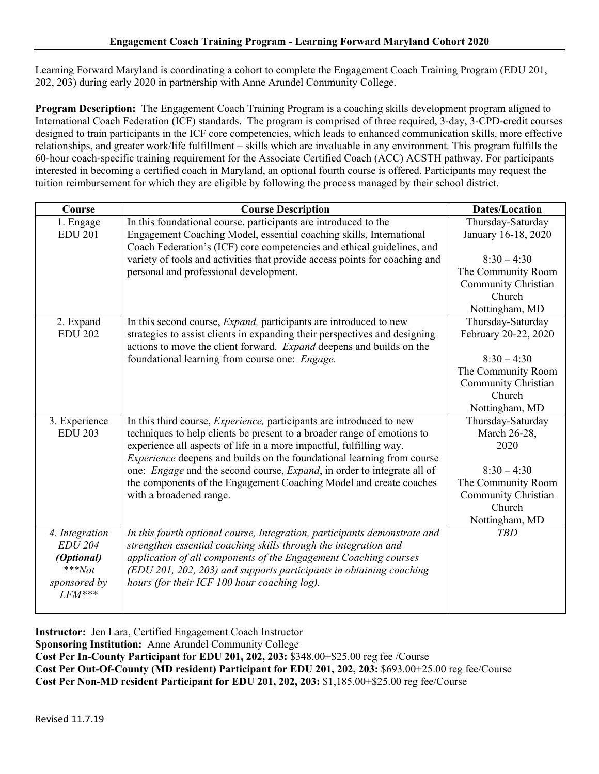Learning Forward Maryland is coordinating a cohort to complete the Engagement Coach Training Program (EDU 201, 202, 203) during early 2020 in partnership with Anne Arundel Community College.

**Program Description:** The Engagement Coach Training Program is a coaching skills development program aligned to International Coach Federation (ICF) standards. The program is comprised of three required, 3-day, 3-CPD-credit courses designed to train participants in the ICF core competencies, which leads to enhanced communication skills, more effective relationships, and greater work/life fulfillment – skills which are invaluable in any environment. This program fulfills the 60-hour coach-specific training requirement for the Associate Certified Coach (ACC) ACSTH pathway. For participants interested in becoming a certified coach in Maryland, an optional fourth course is offered. Participants may request the tuition reimbursement for which they are eligible by following the process managed by their school district.

| Course                                                                                 | <b>Course Description</b>                                                                                                                                                                                                                                                                                                                | <b>Dates/Location</b>                                                                  |
|----------------------------------------------------------------------------------------|------------------------------------------------------------------------------------------------------------------------------------------------------------------------------------------------------------------------------------------------------------------------------------------------------------------------------------------|----------------------------------------------------------------------------------------|
| 1. Engage<br><b>EDU 201</b>                                                            | In this foundational course, participants are introduced to the<br>Engagement Coaching Model, essential coaching skills, International<br>Coach Federation's (ICF) core competencies and ethical guidelines, and                                                                                                                         | Thursday-Saturday<br>January 16-18, 2020                                               |
|                                                                                        | variety of tools and activities that provide access points for coaching and<br>personal and professional development.                                                                                                                                                                                                                    | $8:30 - 4:30$<br>The Community Room                                                    |
|                                                                                        |                                                                                                                                                                                                                                                                                                                                          | Community Christian<br>Church<br>Nottingham, MD                                        |
| 2. Expand<br><b>EDU 202</b>                                                            | In this second course, Expand, participants are introduced to new<br>strategies to assist clients in expanding their perspectives and designing<br>actions to move the client forward. Expand deepens and builds on the<br>foundational learning from course one: Engage.                                                                | Thursday-Saturday<br>February 20-22, 2020<br>$8:30 - 4:30$                             |
|                                                                                        |                                                                                                                                                                                                                                                                                                                                          | The Community Room<br>Community Christian<br>Church<br>Nottingham, MD                  |
| 3. Experience<br><b>EDU 203</b>                                                        | In this third course, Experience, participants are introduced to new<br>techniques to help clients be present to a broader range of emotions to<br>experience all aspects of life in a more impactful, fulfilling way.<br>Experience deepens and builds on the foundational learning from course                                         | Thursday-Saturday<br>March 26-28,<br>2020                                              |
|                                                                                        | one: <i>Engage</i> and the second course, <i>Expand</i> , in order to integrate all of<br>the components of the Engagement Coaching Model and create coaches<br>with a broadened range.                                                                                                                                                  | $8:30 - 4:30$<br>The Community Room<br>Community Christian<br>Church<br>Nottingham, MD |
| 4. Integration<br><b>EDU 204</b><br>(Optional)<br>$***Not$<br>sponsored by<br>$LFM***$ | In this fourth optional course, Integration, participants demonstrate and<br>strengthen essential coaching skills through the integration and<br>application of all components of the Engagement Coaching courses<br>(EDU 201, 202, 203) and supports participants in obtaining coaching<br>hours (for their ICF 100 hour coaching log). | <b>TBD</b>                                                                             |

**Instructor:** Jen Lara, Certified Engagement Coach Instructor

**Sponsoring Institution:** Anne Arundel Community College

**Cost Per In-County Participant for EDU 201, 202, 203:** \$348.00+\$25.00 reg fee /Course

**Cost Per Out-Of-County (MD resident) Participant for EDU 201, 202, 203:** \$693.00+25.00 reg fee/Course

**Cost Per Non-MD resident Participant for EDU 201, 202, 203:** \$1,185.00+\$25.00 reg fee/Course